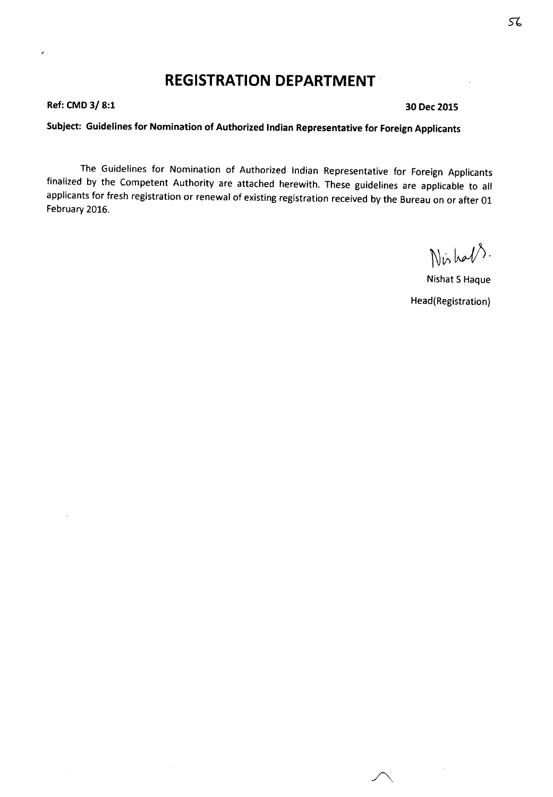# **REGISTRATION DEPARTMENT·**

**Ref: CMD 3/ 8:1 30 Dec 2015**

ł

## **Subject: Guidelines for Nomination of Authorized Indian Representative for Foreign Applicants**

The Guidelines for Nomination of Authorized Indian Representative for Foreign Applicants finalized by the Competent Authority are attached herewith. These guidelines are applicable to all applicants for fresh registration or renewal of existing registration received by the Bureau on or after 01 February 2016.

Nishals.

Nishat 5 Haque Head(Registration)

 $\land$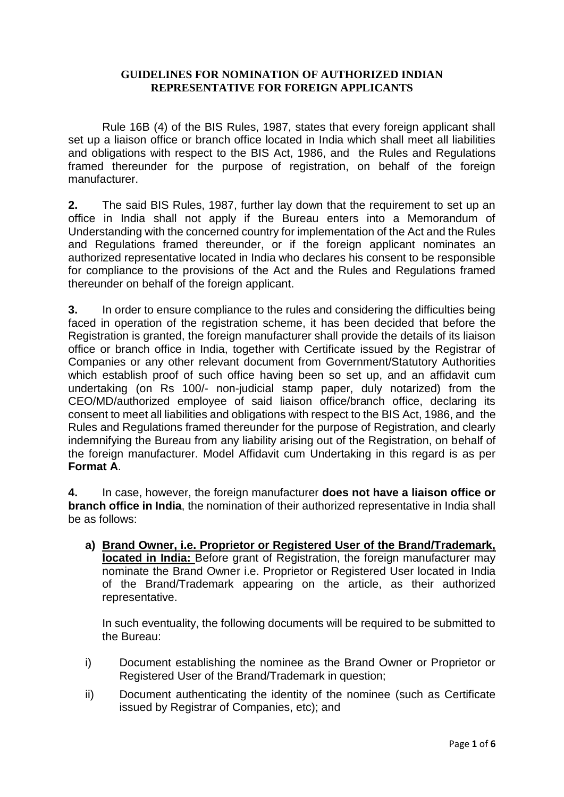#### **GUIDELINES FOR NOMINATION OF AUTHORIZED INDIAN REPRESENTATIVE FOR FOREIGN APPLICANTS**

Rule 16B (4) of the BIS Rules, 1987, states that every foreign applicant shall set up a liaison office or branch office located in India which shall meet all liabilities and obligations with respect to the BIS Act, 1986, and the Rules and Regulations framed thereunder for the purpose of registration, on behalf of the foreign manufacturer.

**2.** The said BIS Rules, 1987, further lay down that the requirement to set up an office in India shall not apply if the Bureau enters into a Memorandum of Understanding with the concerned country for implementation of the Act and the Rules and Regulations framed thereunder, or if the foreign applicant nominates an authorized representative located in India who declares his consent to be responsible for compliance to the provisions of the Act and the Rules and Regulations framed thereunder on behalf of the foreign applicant.

**3.** In order to ensure compliance to the rules and considering the difficulties being faced in operation of the registration scheme, it has been decided that before the Registration is granted, the foreign manufacturer shall provide the details of its liaison office or branch office in India, together with Certificate issued by the Registrar of Companies or any other relevant document from Government/Statutory Authorities which establish proof of such office having been so set up, and an affidavit cum undertaking (on Rs 100/- non-judicial stamp paper, duly notarized) from the CEO/MD/authorized employee of said liaison office/branch office, declaring its consent to meet all liabilities and obligations with respect to the BIS Act, 1986, and the Rules and Regulations framed thereunder for the purpose of Registration, and clearly indemnifying the Bureau from any liability arising out of the Registration, on behalf of the foreign manufacturer. Model Affidavit cum Undertaking in this regard is as per **Format A**.

**4.** In case, however, the foreign manufacturer **does not have a liaison office or branch office in India**, the nomination of their authorized representative in India shall be as follows:

**a) Brand Owner, i.e. Proprietor or Registered User of the Brand/Trademark, located in India:** Before grant of Registration, the foreign manufacturer may nominate the Brand Owner i.e. Proprietor or Registered User located in India of the Brand/Trademark appearing on the article, as their authorized representative.

In such eventuality, the following documents will be required to be submitted to the Bureau:

- i) Document establishing the nominee as the Brand Owner or Proprietor or Registered User of the Brand/Trademark in question;
- ii) Document authenticating the identity of the nominee (such as Certificate issued by Registrar of Companies, etc); and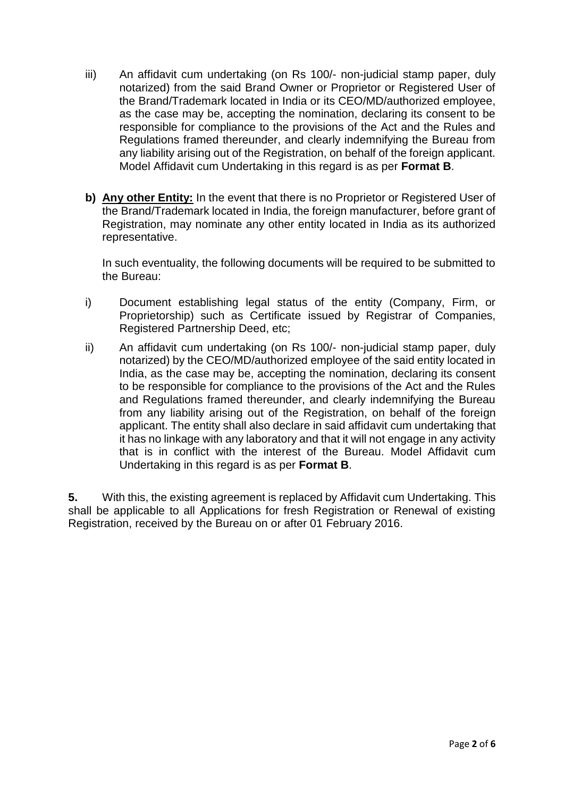- iii) An affidavit cum undertaking (on Rs 100/- non-judicial stamp paper, duly notarized) from the said Brand Owner or Proprietor or Registered User of the Brand/Trademark located in India or its CEO/MD/authorized employee, as the case may be, accepting the nomination, declaring its consent to be responsible for compliance to the provisions of the Act and the Rules and Regulations framed thereunder, and clearly indemnifying the Bureau from any liability arising out of the Registration, on behalf of the foreign applicant. Model Affidavit cum Undertaking in this regard is as per **Format B**.
- **b) Any other Entity:** In the event that there is no Proprietor or Registered User of the Brand/Trademark located in India, the foreign manufacturer, before grant of Registration, may nominate any other entity located in India as its authorized representative.

In such eventuality, the following documents will be required to be submitted to the Bureau:

- i) Document establishing legal status of the entity (Company, Firm, or Proprietorship) such as Certificate issued by Registrar of Companies, Registered Partnership Deed, etc;
- ii) An affidavit cum undertaking (on Rs 100/- non-judicial stamp paper, duly notarized) by the CEO/MD/authorized employee of the said entity located in India, as the case may be, accepting the nomination, declaring its consent to be responsible for compliance to the provisions of the Act and the Rules and Regulations framed thereunder, and clearly indemnifying the Bureau from any liability arising out of the Registration, on behalf of the foreign applicant. The entity shall also declare in said affidavit cum undertaking that it has no linkage with any laboratory and that it will not engage in any activity that is in conflict with the interest of the Bureau. Model Affidavit cum Undertaking in this regard is as per **Format B**.

**5.** With this, the existing agreement is replaced by Affidavit cum Undertaking. This shall be applicable to all Applications for fresh Registration or Renewal of existing Registration, received by the Bureau on or after 01 February 2016.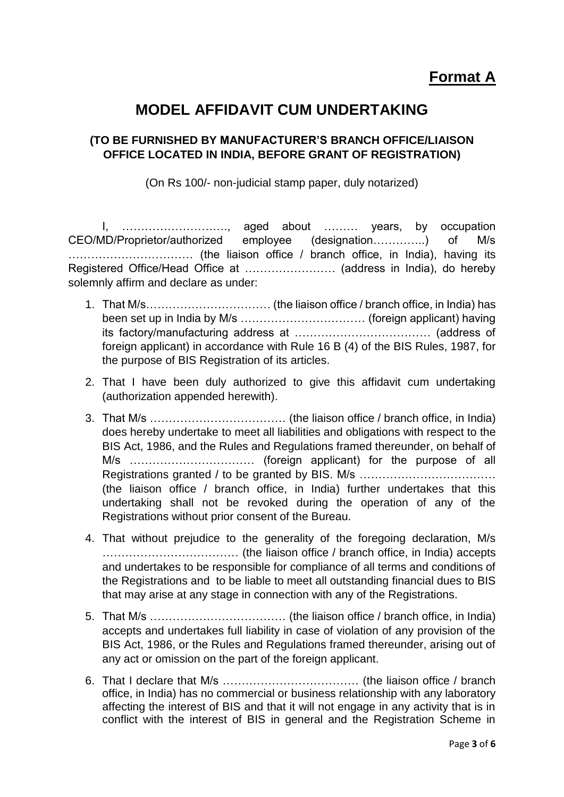## **MODEL AFFIDAVIT CUM UNDERTAKING**

### **(TO BE FURNISHED BY MANUFACTURER'S BRANCH OFFICE/LIAISON OFFICE LOCATED IN INDIA, BEFORE GRANT OF REGISTRATION)**

(On Rs 100/- non-judicial stamp paper, duly notarized)

I, ………………………., aged about ……… years, by occupation CEO/MD/Proprietor/authorized employee (designation…………..) of M/s …………………………… (the liaison office / branch office, in India), having its Registered Office/Head Office at …………………… (address in India), do hereby solemnly affirm and declare as under:

- 1. That M/s…………………………… (the liaison office / branch office, in India) has been set up in India by M/s …………………………… (foreign applicant) having its factory/manufacturing address at ……………………………… (address of foreign applicant) in accordance with Rule 16 B (4) of the BIS Rules, 1987, for the purpose of BIS Registration of its articles.
- 2. That I have been duly authorized to give this affidavit cum undertaking (authorization appended herewith).
- 3. That M/s ……………………………… (the liaison office / branch office, in India) does hereby undertake to meet all liabilities and obligations with respect to the BIS Act, 1986, and the Rules and Regulations framed thereunder, on behalf of M/s …………………………… (foreign applicant) for the purpose of all Registrations granted / to be granted by BIS. M/s ............................... (the liaison office / branch office, in India) further undertakes that this undertaking shall not be revoked during the operation of any of the Registrations without prior consent of the Bureau.
- 4. That without prejudice to the generality of the foregoing declaration, M/s ……………………………… (the liaison office / branch office, in India) accepts and undertakes to be responsible for compliance of all terms and conditions of the Registrations and to be liable to meet all outstanding financial dues to BIS that may arise at any stage in connection with any of the Registrations.
- 5. That M/s ……………………………… (the liaison office / branch office, in India) accepts and undertakes full liability in case of violation of any provision of the BIS Act, 1986, or the Rules and Regulations framed thereunder, arising out of any act or omission on the part of the foreign applicant.
- 6. That I declare that M/s ……………………………… (the liaison office / branch office, in India) has no commercial or business relationship with any laboratory affecting the interest of BIS and that it will not engage in any activity that is in conflict with the interest of BIS in general and the Registration Scheme in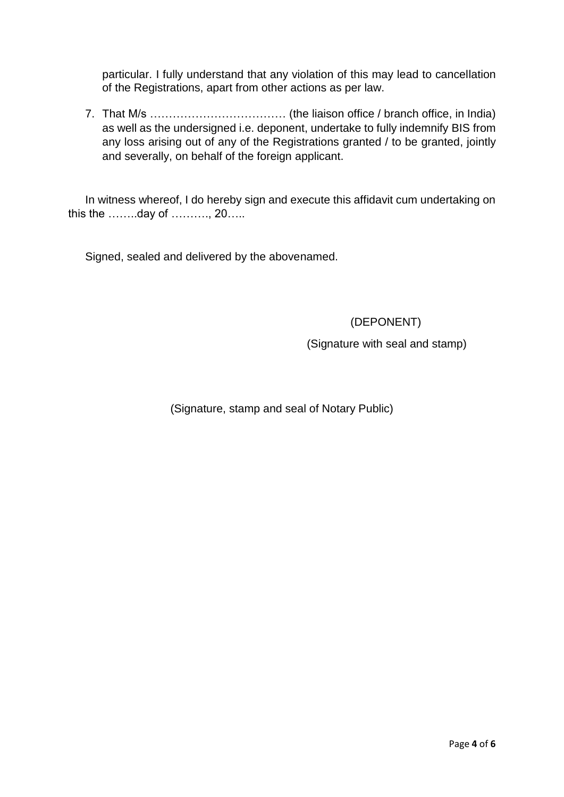particular. I fully understand that any violation of this may lead to cancellation of the Registrations, apart from other actions as per law.

7. That M/s ……………………………… (the liaison office / branch office, in India) as well as the undersigned i.e. deponent, undertake to fully indemnify BIS from any loss arising out of any of the Registrations granted / to be granted, jointly and severally, on behalf of the foreign applicant.

In witness whereof, I do hereby sign and execute this affidavit cum undertaking on this the ……..day of ………., 20…..

Signed, sealed and delivered by the abovenamed.

(DEPONENT)

(Signature with seal and stamp)

(Signature, stamp and seal of Notary Public)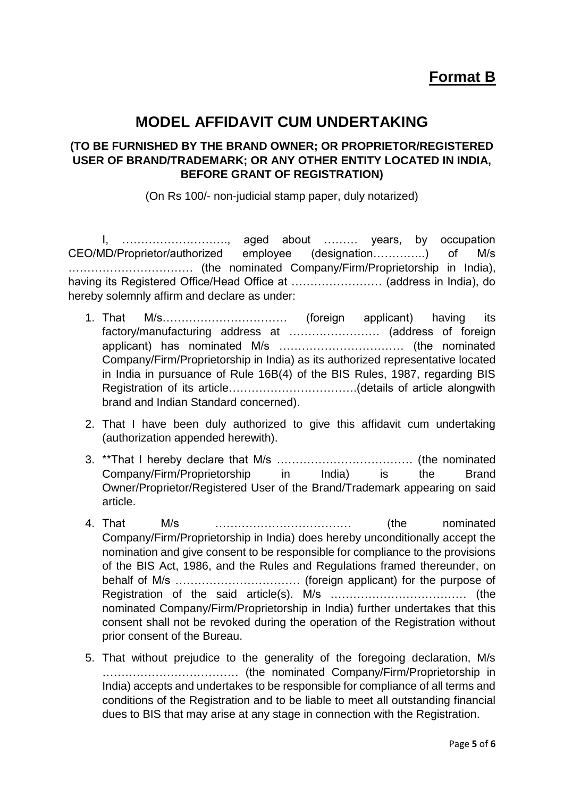## **MODEL AFFIDAVIT CUM UNDERTAKING**

#### **(TO BE FURNISHED BY THE BRAND OWNER; OR PROPRIETOR/REGISTERED USER OF BRAND/TRADEMARK; OR ANY OTHER ENTITY LOCATED IN INDIA, BEFORE GRANT OF REGISTRATION)**

(On Rs 100/- non-judicial stamp paper, duly notarized)

I, ………………………., aged about ……… years, by occupation CEO/MD/Proprietor/authorized employee (designation…………..) of M/s …………………………… (the nominated Company/Firm/Proprietorship in India), having its Registered Office/Head Office at …………………… (address in India), do hereby solemnly affirm and declare as under:

- 1. That M/s…………………………… (foreign applicant) having its factory/manufacturing address at …………………… (address of foreign applicant) has nominated M/s …………………………… (the nominated Company/Firm/Proprietorship in India) as its authorized representative located in India in pursuance of Rule 16B(4) of the BIS Rules, 1987, regarding BIS Registration of its article…………………………….(details of article alongwith brand and Indian Standard concerned).
- 2. That I have been duly authorized to give this affidavit cum undertaking (authorization appended herewith).
- 3. \*\*That I hereby declare that M/s ……………………………… (the nominated Company/Firm/Proprietorship in India) is the Brand Owner/Proprietor/Registered User of the Brand/Trademark appearing on said article.
- 4. That M/s ……………………………… (the nominated Company/Firm/Proprietorship in India) does hereby unconditionally accept the nomination and give consent to be responsible for compliance to the provisions of the BIS Act, 1986, and the Rules and Regulations framed thereunder, on behalf of M/s …………………………… (foreign applicant) for the purpose of Registration of the said article(s). M/s ……………………………… (the nominated Company/Firm/Proprietorship in India) further undertakes that this consent shall not be revoked during the operation of the Registration without prior consent of the Bureau.
- 5. That without prejudice to the generality of the foregoing declaration, M/s ……………………………… (the nominated Company/Firm/Proprietorship in India) accepts and undertakes to be responsible for compliance of all terms and conditions of the Registration and to be liable to meet all outstanding financial dues to BIS that may arise at any stage in connection with the Registration.